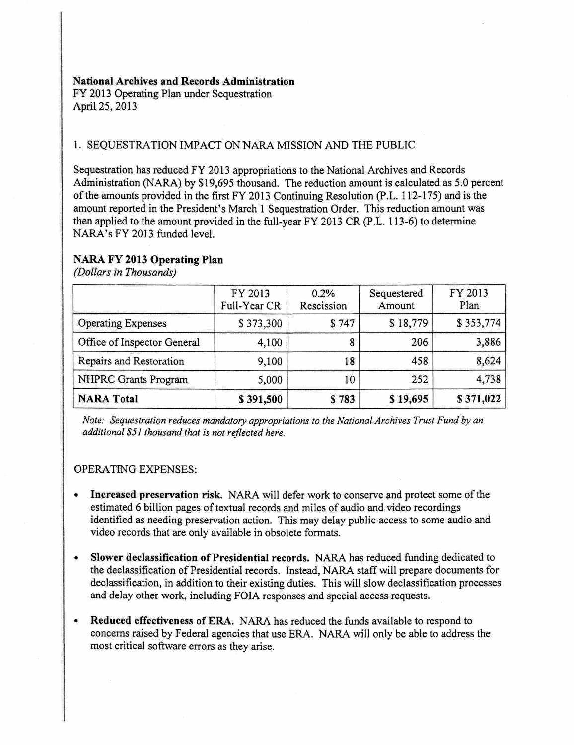#### National Archives and Records Administration

FY 2013 Operating Plan under Sequestration April25, 2013

## 1. SEQUESTRATION IMPACT ON NARA MISSION AND THE PUBLIC

Sequestration has reduced FY 2013 appropriations to the National Archives and Records Administration (NARA) by \$19,695 thousand. The reduction amount is calculated as 5.0 percent of the amounts provided in the first FY 2013 Continuing Resolution (P.L. 112-175) and is the amount reported in the President's March 1 Sequestration Order. This reduction amount was then applied to the amount provided in the full-year FY 2013 CR (P.L. 113-6) to determine NARA's FY 2013 funded level.

### NARA FY 2013 Operating Plan

*(Dollars in Thousands)* 

|                             | FY 2013<br>Full-Year CR | 0.2%<br>Rescission | Sequestered<br>Amount | FY 2013<br>Plan |
|-----------------------------|-------------------------|--------------------|-----------------------|-----------------|
| <b>Operating Expenses</b>   | \$373,300               | \$747              | \$18,779              | \$353,774       |
| Office of Inspector General | 4,100                   | 8                  | 206                   | 3,886           |
| Repairs and Restoration     | 9,100                   | 18                 | 458                   | 8,624           |
| <b>NHPRC Grants Program</b> | 5,000                   | 10                 | 252                   | 4,738           |
| <b>NARA Total</b>           | \$391,500               | \$783              | \$19,695              | \$371,022       |

*Note: Sequestration reduces mandatory appropriations to the National Archives Trust Fund by an additional \$51 thousand that is not reflected here.* 

#### OPERATING EXPENSES:

- Increased preservation risk. NARA will defer work to conserve and protect some of the estimated 6 billion pages of textual records and miles of audio and video recordings identified as needing preservation action. This may delay public access to some audio and video records that are only available in obsolete formats.
- Slower declassification of Presidential records. NARA has reduced funding dedicated to the declassification of Presidential records. Instead, NARA staff will prepare documents for declassification, in addition to their existing duties. This will slow declassification processes and delay other work, including FOIA responses and special access requests.
- Reduced effectiveness of ERA. NARA has reduced the funds available to respond to concerns raised by Federal agencies that use ERA. NARA will only be able to address the most critical software errors as they arise.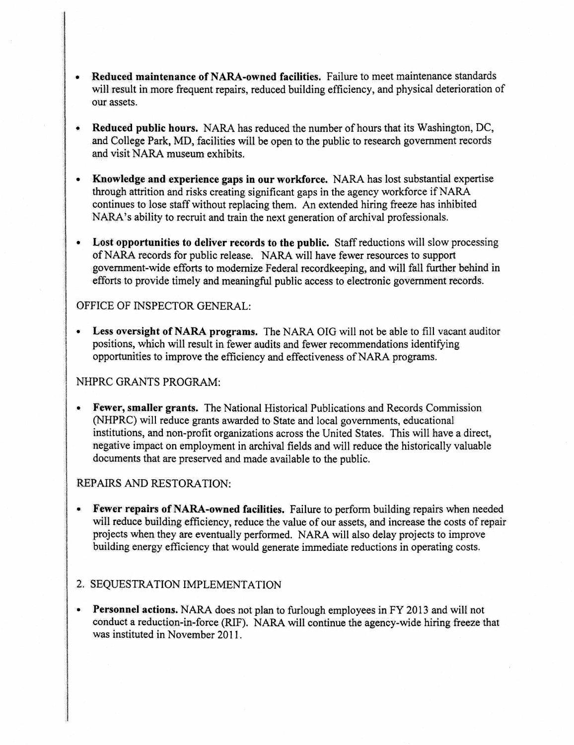- , Reduced maintenance ofNARA-owned facilities. Failure to meet maintenance standards will result in more frequent repairs, reduced building efficiency, and physical deterioration of our assets.
- Reduced public hours. NARA has reduced the number of hours that its Washington, DC, and College Park, MD, facilities will be open to the public to research government records and visit NARA museum exhibits.
- Knowledge and experience gaps in our workforce. NARA has lost substantial expertise through attrition and risks creating significant gaps in the agency workforce if NARA continues to lose staff without replacing them. An extended hiring freeze has inhibited NARA's ability to recruit and train the next generation of archival professionals.
- Lost opportunities to deliver records to the public. Staff reductions will slow processing of NARA records for public release. NARA will have fewer resources to support government-wide efforts to modernize Federal recordkeeping, and will fall further behind in efforts to provide timely and meaningful public access to electronic government records.

### OFFICE OF INSPECTOR GENERAL:

Less oversight of NARA programs. The NARA OIG will not be able to fill vacant auditor positions, which will result in fewer audits and fewer recommendations identifying opportunities to improve the efficiency and effectiveness of NARA programs.

## NHPRC GRANTS PROGRAM:

• Fewer, smaller grants. The National Historical Publications and Records Commission (NHPRC) will reduce grants awarded to State and local governments, educational institutions, and non-profit organizations across the United States. This will have a direct, negative impact on employment in archival fields and will reduce the historically valuable documents that are preserved and made available to the public.

### REPAIRS AND RESTORATION:

- Fewer repairs of NARA-owned facilities. Failure to perform building repairs when needed will reduce building efficiency, reduce the value of our assets, and increase the costs of repair projects when they are eventually performed. NARA will also delay projects to improve building energy efficiency that would generate immediate reductions in operating costs.
- 2. SEQUESTRATION IMPLEMENTATION
- Personnel actions. NARA does not plan to furlough employees in FY 2013 and will not conduct a reduction-in-force (RIF). NARA will continue the agency-wide hiring freeze that was instituted in November 2011.